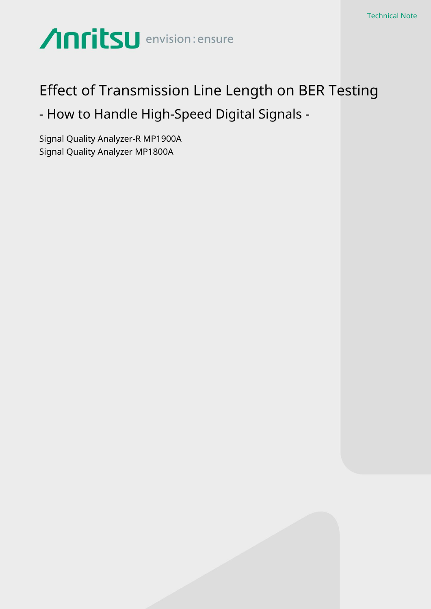# Anritsu envision: ensure

## Effect of Transmission Line Length on BER Testing - How to Handle High-Speed Digital Signals -

Signal Quality Analyzer-R MP1900A Signal Quality Analyzer MP1800A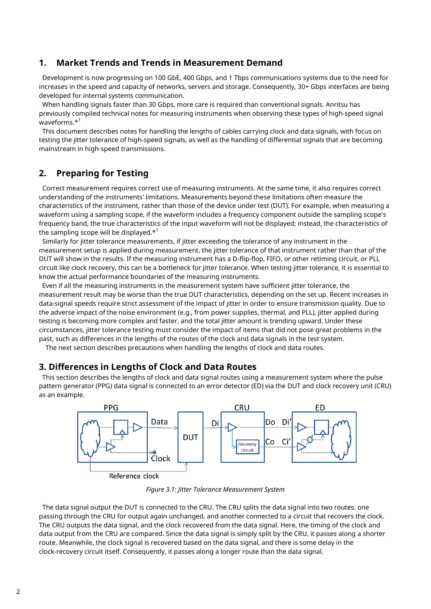## **1. Market Trends and Trends in Measurement Demand**

Development is now progressing on 100 GbE, 400 Gbps, and 1 Tbps communications systems due to the need for increases in the speed and capacity of networks, servers and storage. Consequently, 30+ Gbps interfaces are being developed for internal systems communication.

When handling signals faster than 30 Gbps, more care is required than conventional signals. Anritsu has previously compiled technical notes for measuring instruments when observing these types of high-speed signal waveforms.\*<sup>1</sup>

This document describes notes for handling the lengths of cables carrying clock and data signals, with focus on testing the jitter tolerance of high-speed signals, as well as the handling of differential signals that are becoming mainstream in high-speed transmissions.

## **2. Preparing for Testing**

Correct measurement requires correct use of measuring instruments. At the same time, it also requires correct understanding of the instruments' limitations. Measurements beyond these limitations often measure the characteristics of the instrument, rather than those of the device under test (DUT). For example, when measuring a waveform using a sampling scope, if the waveform includes a frequency component outside the sampling scope's frequency band, the true characteristics of the input waveform will not be displayed; instead, the characteristics of the sampling scope will be displayed. $*^1$ 

Similarly for jitter tolerance measurements, if jitter exceeding the tolerance of any instrument in the measurement setup is applied during measurement, the jitter tolerance of that instrument rather than that of the DUT will show in the results. If the measuring instrument has a D-flip-flop, FIFO, or other retiming circuit, or PLL circuit like clock recovery, this can be a bottleneck for jitter tolerance. When testing jitter tolerance, it is essential to know the actual performance boundaries of the measuring instruments.

Even if all the measuring instruments in the measurement system have sufficient jitter tolerance, the measurement result may be worse than the true DUT characteristics, depending on the set up. Recent increases in data-signal speeds require strict assessment of the impact of jitter in order to ensure transmission quality. Due to the adverse impact of the noise environment (e.g., from power supplies, thermal, and PLL), jitter applied during testing is becoming more complex and faster, and the total jitter amount is trending upward. Under these circumstances, jitter tolerance testing must consider the impact of items that did not pose great problems in the past, such as differences in the lengths of the routes of the clock and data signals in the test system.

The next section describes precautions when handling the lengths of clock and data routes.

## **3. Differences in Lengths of Clock and Data Routes**

This section describes the lengths of clock and data signal routes using a measurement system where the pulse pattern generator (PPG) data signal is connected to an error detector (ED) via the DUT and clock recovery unit (CRU) as an example.



*Figure 3.1: Jitter Tolerance Measurement System*

The data signal output the DUT is connected to the CRU. The CRU splits the data signal into two routes: one passing through the CRU for output again unchanged, and another connected to a circuit that recovers the clock. The CRU outputs the data signal, and the clock recovered from the data signal. Here, the timing of the clock and data output from the CRU are compared. Since the data signal is simply split by the CRU, it passes along a shorter route. Meanwhile, the clock signal is recovered based on the data signal, and there is some delay in the clock-recovery circuit itself. Consequently, it passes along a longer route than the data signal.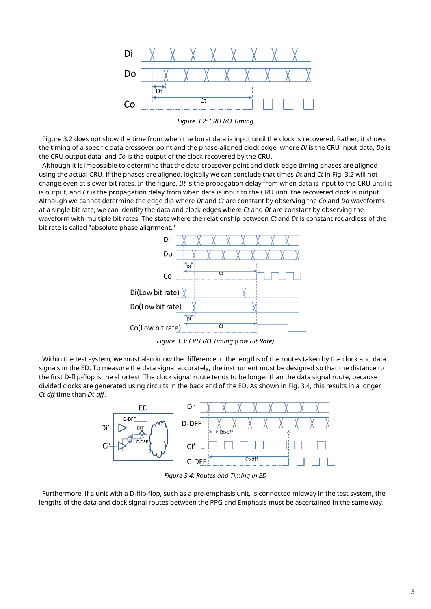

*Figure 3.2: CRU I/O Timing*

Figure 3.2 does not show the time from when the burst data is input until the clock is recovered. Rather, it shows the timing of a specific data crossover point and the phase-aligned clock edge, where *Di* is the CRU input data, *Do* is the CRU output data, and *Co* is the output of the clock recovered by the CRU.

Although it is impossible to determine that the data crossover point and clock-edge timing phases are aligned using the actual CRU, if the phases are aligned, logically we can conclude that times *Dt* and *Ct* in Fig. 3.2 will not change even at slower bit rates. In the figure, *Dt* is the propagation delay from when data is input to the CRU until it is output, and *Ct* is the propagation delay from when data is input to the CRU until the recovered clock is output. Although we cannot determine the edge dip where *Dt* and *Ct* are constant by observing the *Co* and *Do* waveforms at a single bit rate, we can identify the data and clock edges where *Ct* and *Dt* are constant by observing the waveform with multiple bit rates. The state where the relationship between *Ct* and *Dt* is constant regardless of the bit rate is called "absolute phase alignment."



*Figure 3.3: CRU I/O Timing (Low Bit Rate)*

Within the test system, we must also know the difference in the lengths of the routes taken by the clock and data signals in the ED. To measure the data signal accurately, the instrument must be designed so that the distance to the first D-flip-flop is the shortest. The clock signal route tends to be longer than the data signal route, because divided clocks are generated using circuits in the back end of the ED. As shown in Fig. 3.4, this results in a longer *Ct-dff* time than *Dt-dff*.



*Figure 3.4: Routes and Timing in ED*

Furthermore, if a unit with a D-flip-flop, such as a pre-emphasis unit, is connected midway in the test system, the lengths of the data and clock signal routes between the PPG and Emphasis must be ascertained in the same way.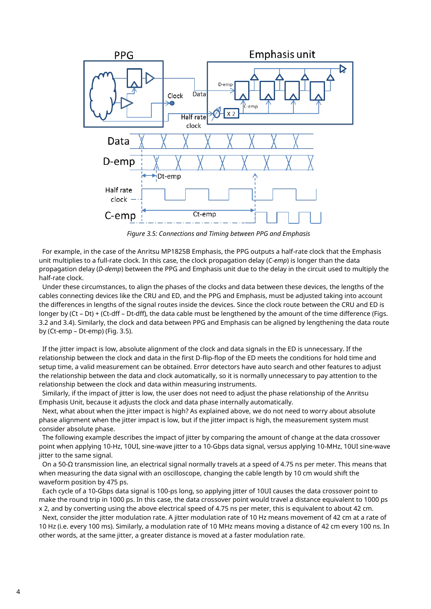

*Figure 3.5: Connections and Timing between PPG and Emphasis*

For example, in the case of the Anritsu MP1825B Emphasis, the PPG outputs a half-rate clock that the Emphasis unit multiplies to a full-rate clock. In this case, the clock propagation delay (*C-emp*) is longer than the data propagation delay (*D-demp*) between the PPG and Emphasis unit due to the delay in the circuit used to multiply the half-rate clock.

Under these circumstances, to align the phases of the clocks and data between these devices, the lengths of the cables connecting devices like the CRU and ED, and the PPG and Emphasis, must be adjusted taking into account the differences in lengths of the signal routes inside the devices. Since the clock route between the CRU and ED is longer by (Ct – Dt) + (Ct-dff – Dt-dff), the data cable must be lengthened by the amount of the time difference (Figs. 3.2 and 3.4). Similarly, the clock and data between PPG and Emphasis can be aligned by lengthening the data route by (Ct-emp – Dt-emp) (Fig. 3.5).

If the jitter impact is low, absolute alignment of the clock and data signals in the ED is unnecessary. If the relationship between the clock and data in the first D-flip-flop of the ED meets the conditions for hold time and setup time, a valid measurement can be obtained. Error detectors have auto search and other features to adjust the relationship between the data and clock automatically, so it is normally unnecessary to pay attention to the relationship between the clock and data within measuring instruments.

Similarly, if the impact of jitter is low, the user does not need to adjust the phase relationship of the Anritsu Emphasis Unit, because it adjusts the clock and data phase internally automatically.

Next, what about when the jitter impact is high? As explained above, we do not need to worry about absolute phase alignment when the jitter impact is low, but if the jitter impact is high, the measurement system must consider absolute phase.

The following example describes the impact of jitter by comparing the amount of change at the data crossover point when applying 10-Hz, 10UI, sine-wave jitter to a 10-Gbps data signal, versus applying 10-MHz, 10UI sine-wave jitter to the same signal.

On a 50-Ω transmission line, an electrical signal normally travels at a speed of 4.75 ns per meter. This means that when measuring the data signal with an oscilloscope, changing the cable length by 10 cm would shift the waveform position by 475 ps.

Each cycle of a 10-Gbps data signal is 100-ps long, so applying jitter of 10UI causes the data crossover point to make the round trip in 1000 ps. In this case, the data crossover point would travel a distance equivalent to 1000 ps x 2, and by converting using the above electrical speed of 4.75 ns per meter, this is equivalent to about 42 cm.

Next, consider the jitter modulation rate. A jitter modulation rate of 10 Hz means movement of 42 cm at a rate of 10 Hz (i.e. every 100 ms). Similarly, a modulation rate of 10 MHz means moving a distance of 42 cm every 100 ns. In other words, at the same jitter, a greater distance is moved at a faster modulation rate.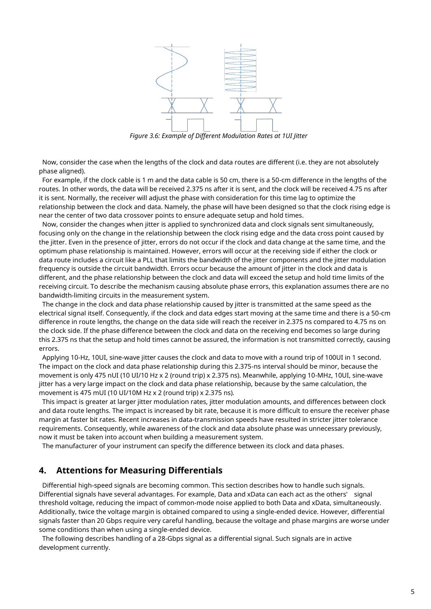

*Figure 3.6: Example of Different Modulation Rates at 1UI Jitter*

Now, consider the case when the lengths of the clock and data routes are different (i.e. they are not absolutely phase aligned).

For example, if the clock cable is 1 m and the data cable is 50 cm, there is a 50-cm difference in the lengths of the routes. In other words, the data will be received 2.375 ns after it is sent, and the clock will be received 4.75 ns after it is sent. Normally, the receiver will adjust the phase with consideration for this time lag to optimize the relationship between the clock and data. Namely, the phase will have been designed so that the clock rising edge is near the center of two data crossover points to ensure adequate setup and hold times.

Now, consider the changes when jitter is applied to synchronized data and clock signals sent simultaneously, focusing only on the change in the relationship between the clock rising edge and the data cross point caused by the jitter. Even in the presence of jitter, errors do not occur if the clock and data change at the same time, and the optimum phase relationship is maintained. However, errors will occur at the receiving side if either the clock or data route includes a circuit like a PLL that limits the bandwidth of the jitter components and the jitter modulation frequency is outside the circuit bandwidth. Errors occur because the amount of jitter in the clock and data is different, and the phase relationship between the clock and data will exceed the setup and hold time limits of the receiving circuit. To describe the mechanism causing absolute phase errors, this explanation assumes there are no bandwidth-limiting circuits in the measurement system.

The change in the clock and data phase relationship caused by jitter is transmitted at the same speed as the electrical signal itself. Consequently, if the clock and data edges start moving at the same time and there is a 50-cm difference in route lengths, the change on the data side will reach the receiver in 2.375 ns compared to 4.75 ns on the clock side. If the phase difference between the clock and data on the receiving end becomes so large during this 2.375 ns that the setup and hold times cannot be assured, the information is not transmitted correctly, causing errors.

Applying 10-Hz, 10UI, sine-wave jitter causes the clock and data to move with a round trip of 100UI in 1 second. The impact on the clock and data phase relationship during this 2.375-ns interval should be minor, because the movement is only 475 nUI (10 UI/10 Hz x 2 (round trip) x 2.375 ns). Meanwhile, applying 10-MHz, 10UI, sine-wave jitter has a very large impact on the clock and data phase relationship, because by the same calculation, the movement is 475 mUI (10 UI/10M Hz x 2 (round trip) x 2.375 ns).

This impact is greater at larger jitter modulation rates, jitter modulation amounts, and differences between clock and data route lengths. The impact is increased by bit rate, because it is more difficult to ensure the receiver phase margin at faster bit rates. Recent increases in data-transmission speeds have resulted in stricter jitter tolerance requirements. Consequently, while awareness of the clock and data absolute phase was unnecessary previously, now it must be taken into account when building a measurement system.

The manufacturer of your instrument can specify the difference between its clock and data phases.

## **4. Attentions for Measuring Differentials**

Differential high-speed signals are becoming common. This section describes how to handle such signals. Differential signals have several advantages. For example, Data and xData can each act as the others' signal threshold voltage, reducing the impact of common-mode noise applied to both Data and xData, simultaneously. Additionally, twice the voltage margin is obtained compared to using a single-ended device. However, differential signals faster than 20 Gbps require very careful handling, because the voltage and phase margins are worse under some conditions than when using a single-ended device.

The following describes handling of a 28-Gbps signal as a differential signal. Such signals are in active development currently.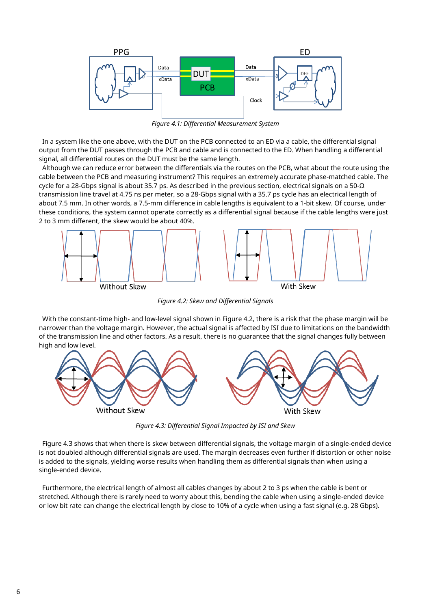

*Figure 4.1: Differential Measurement System*

In a system like the one above, with the DUT on the PCB connected to an ED via a cable, the differential signal output from the DUT passes through the PCB and cable and is connected to the ED. When handling a differential signal, all differential routes on the DUT must be the same length.

Although we can reduce error between the differentials via the routes on the PCB, what about the route using the cable between the PCB and measuring instrument? This requires an extremely accurate phase-matched cable. The cycle for a 28-Gbps signal is about 35.7 ps. As described in the previous section, electrical signals on a 50-Ω transmission line travel at 4.75 ns per meter, so a 28-Gbps signal with a 35.7 ps cycle has an electrical length of about 7.5 mm. In other words, a 7.5-mm difference in cable lengths is equivalent to a 1-bit skew. Of course, under these conditions, the system cannot operate correctly as a differential signal because if the cable lengths were just 2 to 3 mm different, the skew would be about 40%.



*Figure 4.2: Skew and Differential Signals*

With the constant-time high- and low-level signal shown in Figure 4.2, there is a risk that the phase margin will be narrower than the voltage margin. However, the actual signal is affected by ISI due to limitations on the bandwidth of the transmission line and other factors. As a result, there is no guarantee that the signal changes fully between high and low level.



*Figure 4.3: Differential Signal Impacted by ISI and Skew*

Figure 4.3 shows that when there is skew between differential signals, the voltage margin of a single-ended device is not doubled although differential signals are used. The margin decreases even further if distortion or other noise is added to the signals, yielding worse results when handling them as differential signals than when using a single-ended device.

Furthermore, the electrical length of almost all cables changes by about 2 to 3 ps when the cable is bent or stretched. Although there is rarely need to worry about this, bending the cable when using a single-ended device or low bit rate can change the electrical length by close to 10% of a cycle when using a fast signal (e.g. 28 Gbps).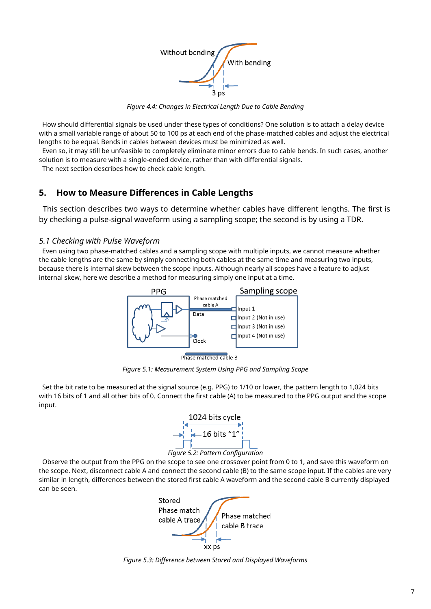

*Figure 4.4: Changes in Electrical Length Due to Cable Bending*

How should differential signals be used under these types of conditions? One solution is to attach a delay device with a small variable range of about 50 to 100 ps at each end of the phase-matched cables and adjust the electrical lengths to be equal. Bends in cables between devices must be minimized as well.

Even so, it may still be unfeasible to completely eliminate minor errors due to cable bends. In such cases, another solution is to measure with a single-ended device, rather than with differential signals.

The next section describes how to check cable length.

## **5. How to Measure Differences in Cable Lengths**

This section describes two ways to determine whether cables have different lengths. The first is by checking a pulse-signal waveform using a sampling scope; the second is by using a TDR.

## *5.1 Checking with Pulse Waveform*

Even using two phase-matched cables and a sampling scope with multiple inputs, we cannot measure whether the cable lengths are the same by simply connecting both cables at the same time and measuring two inputs, because there is internal skew between the scope inputs. Although nearly all scopes have a feature to adjust internal skew, here we describe a method for measuring simply one input at a time.



Phase matched cable B

*Figure 5.1: Measurement System Using PPG and Sampling Scope*

Set the bit rate to be measured at the signal source (e.g. PPG) to 1/10 or lower, the pattern length to 1,024 bits with 16 bits of 1 and all other bits of 0. Connect the first cable (A) to be measured to the PPG output and the scope input.



*Figure 5.2: Pattern Configuration*

Observe the output from the PPG on the scope to see one crossover point from 0 to 1, and save this waveform on the scope. Next, disconnect cable A and connect the second cable (B) to the same scope input. If the cables are very similar in length, differences between the stored first cable A waveform and the second cable B currently displayed can be seen.



*Figure 5.3: Difference between Stored and Displayed Waveforms*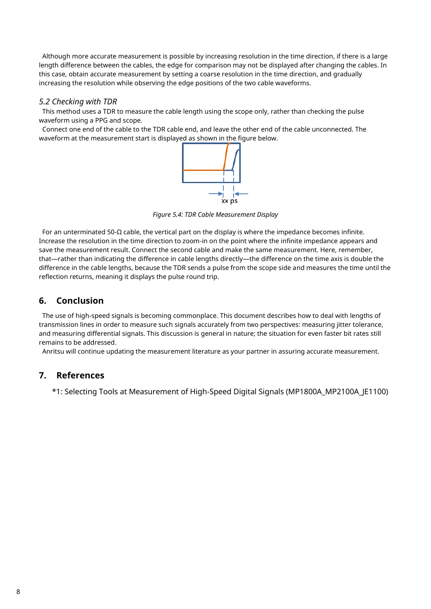Although more accurate measurement is possible by increasing resolution in the time direction, if there is a large length difference between the cables, the edge for comparison may not be displayed after changing the cables. In this case, obtain accurate measurement by setting a coarse resolution in the time direction, and gradually increasing the resolution while observing the edge positions of the two cable waveforms.

### *5.2 Checking with TDR*

This method uses a TDR to measure the cable length using the scope only, rather than checking the pulse waveform using a PPG and scope.

Connect one end of the cable to the TDR cable end, and leave the other end of the cable unconnected. The waveform at the measurement start is displayed as shown in the figure below.



*Figure 5.4: TDR Cable Measurement Display*

For an unterminated 50-Ω cable, the vertical part on the display is where the impedance becomes infinite. Increase the resolution in the time direction to zoom-in on the point where the infinite impedance appears and save the measurement result. Connect the second cable and make the same measurement. Here, remember, that—rather than indicating the difference in cable lengths directly—the difference on the time axis is double the difference in the cable lengths, because the TDR sends a pulse from the scope side and measures the time until the reflection returns, meaning it displays the pulse round trip.

## **6. Conclusion**

The use of high-speed signals is becoming commonplace. This document describes how to deal with lengths of transmission lines in order to measure such signals accurately from two perspectives: measuring jitter tolerance, and measuring differential signals. This discussion is general in nature; the situation for even faster bit rates still remains to be addressed.

Anritsu will continue updating the measurement literature as your partner in assuring accurate measurement.

## **7. References**

\*1: Selecting Tools at Measurement of High-Speed Digital Signals (MP1800A\_MP2100A\_JE1100)